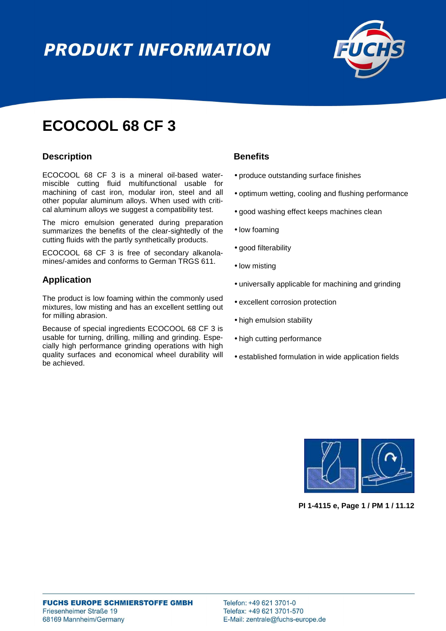# **PRODUKT INFORMATION**



## **ECOCOOL 68 CF 3**

### **Description**

ECOCOOL 68 CF 3 is a mineral oil-based watermiscible cutting fluid multifunctional usable for machining of cast iron, modular iron, steel and all other popular aluminum alloys. When used with critical aluminum alloys we suggest a compatibility test.

The micro emulsion generated during preparation summarizes the benefits of the clear-sightedly of the cutting fluids with the partly synthetically products.

ECOCOOL 68 CF 3 is free of secondary alkanolamines/-amides and conforms to German TRGS 611.

## **Application**

The product is low foaming within the commonly used mixtures, low misting and has an excellent settling out for milling abrasion.

Because of special ingredients ECOCOOL 68 CF 3 is usable for turning, drilling, milling and grinding. Especially high performance grinding operations with high quality surfaces and economical wheel durability will be achieved.

### **Benefits**

- produce outstanding surface finishes
- optimum wetting, cooling and flushing performance
- good washing effect keeps machines clean
- low foaming
- good filterability
- low misting
- universally applicable for machining and grinding
- excellent corrosion protection
- high emulsion stability
- high cutting performance
- established formulation in wide application fields



**PI 1-4115 e, Page 1 / PM 1 / 11.12**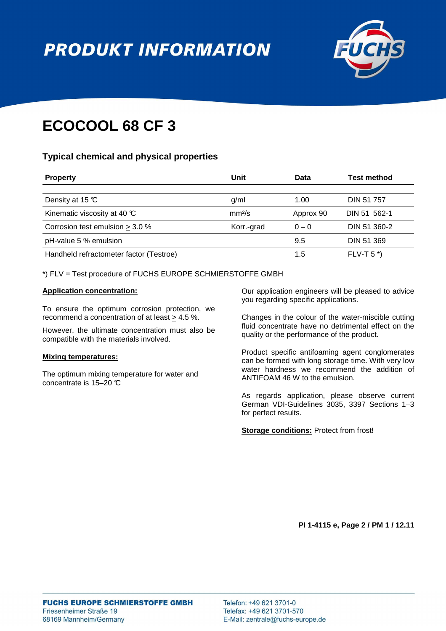# **PRODUKT INFORMATION**



# **ECOCOOL 68 CF 3**

## **Typical chemical and physical properties**

| <b>Property</b>                          | Unit               | Data      | Test method       |
|------------------------------------------|--------------------|-----------|-------------------|
|                                          |                    |           |                   |
| Density at 15 $\mathbb C$                | g/ml               | 1.00      | <b>DIN 51 757</b> |
| Kinematic viscosity at 40 $\mathfrak{C}$ | mm <sup>2</sup> /s | Approx 90 | DIN 51 562-1      |
| Corrosion test emulsion $>$ 3.0 %        | Korr.-grad         | $0 - 0$   | DIN 51 360-2      |
| pH-value 5 % emulsion                    |                    | 9.5       | DIN 51 369        |
| Handheld refractometer factor (Testroe)  |                    | 1.5       | $FLV-T 5*$        |
|                                          |                    |           |                   |

\*) FLV = Test procedure of FUCHS EUROPE SCHMIERSTOFFE GMBH

#### **Application concentration:**

To ensure the optimum corrosion protection, we recommend a concentration of at least > 4.5 %.

However, the ultimate concentration must also be compatible with the materials involved.

#### **Mixing temperatures:**

The optimum mixing temperature for water and concentrate is 15–20 °C

Our application engineers will be pleased to advice you regarding specific applications.

Changes in the colour of the water-miscible cutting fluid concentrate have no detrimental effect on the quality or the performance of the product.

Product specific antifoaming agent conglomerates can be formed with long storage time. With very low water hardness we recommend the addition of ANTIFOAM 46 W to the emulsion.

As regards application, please observe current German VDI-Guidelines 3035, 3397 Sections 1–3 for perfect results.

**Storage conditions:** Protect from frost!

**PI 1-4115 e, Page 2 / PM 1 / 12.11**